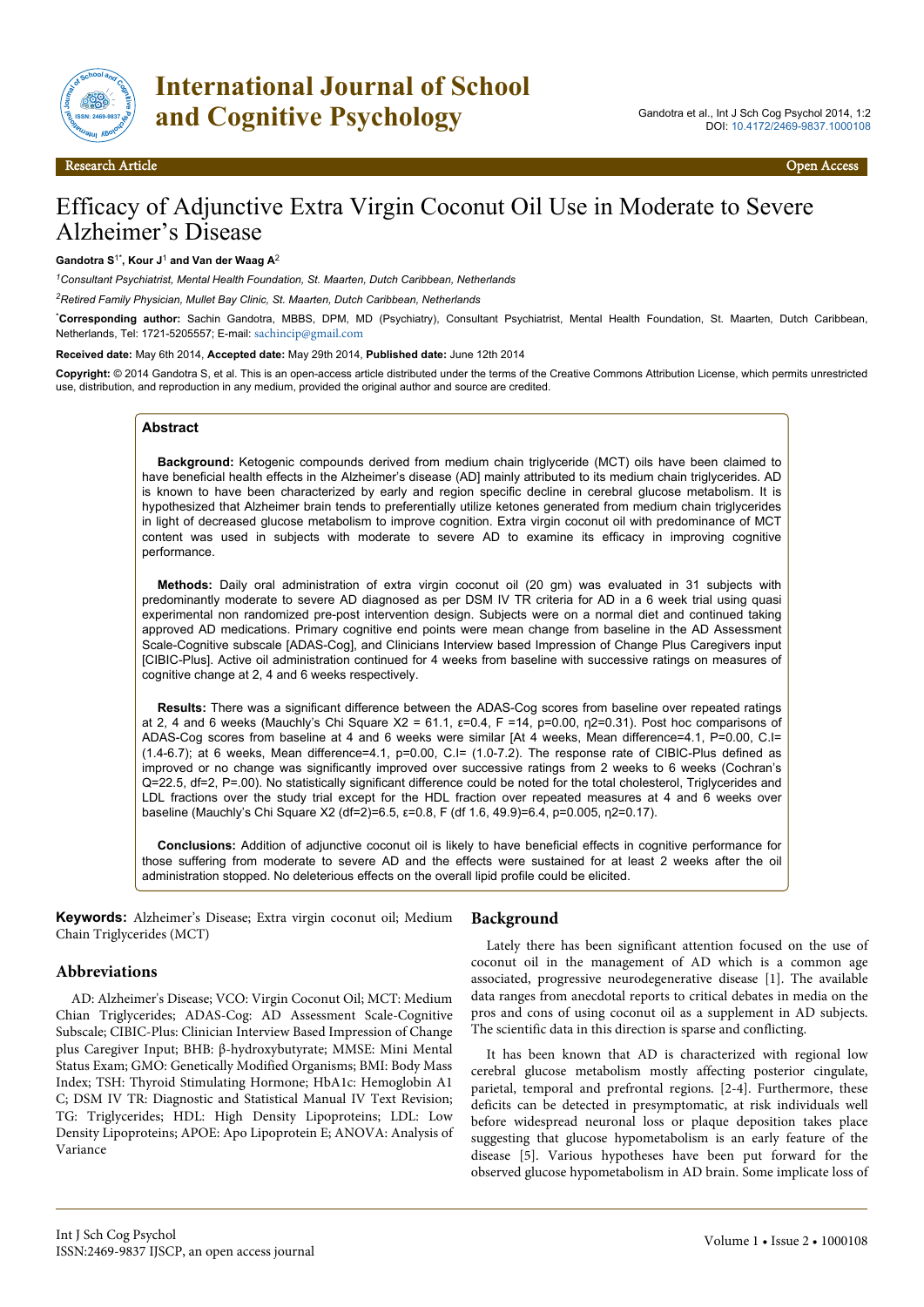

# Efficacy of Adjunctive Extra Virgin Coconut Oil Use in Moderate to Severe Alzheimer's Disease

#### **Gandotra S**1\***, Kour J**<sup>1</sup>  **and Van der Waag A**<sup>2</sup>

*<sup>1</sup>Consultant Psychiatrist, Mental Health Foundation, St. Maarten, Dutch Caribbean, Netherlands*

*<sup>2</sup>Retired Family Physician, Mullet Bay Clinic, St. Maarten, Dutch Caribbean, Netherlands*

\***Corresponding author:** Sachin Gandotra, MBBS, DPM, MD (Psychiatry), Consultant Psychiatrist, Mental Health Foundation, St. Maarten, Dutch Caribbean, Netherlands, Tel: 1721-5205557; E-mail: [sachincip@gmail.com](mailto:sachincip@gmail.com)

**Received date:** May 6th 2014, **Accepted date:** May 29th 2014, **Published date:** June 12th 2014

**Copyright:** © 2014 Gandotra S, et al. This is an open-access article distributed under the terms of the Creative Commons Attribution License, which permits unrestricted use, distribution, and reproduction in any medium, provided the original author and source are credited.

## **Abstract**

**Background:** Ketogenic compounds derived from medium chain triglyceride (MCT) oils have been claimed to have beneficial health effects in the Alzheimer's disease (AD] mainly attributed to its medium chain triglycerides. AD is known to have been characterized by early and region specific decline in cerebral glucose metabolism. It is hypothesized that Alzheimer brain tends to preferentially utilize ketones generated from medium chain triglycerides in light of decreased glucose metabolism to improve cognition. Extra virgin coconut oil with predominance of MCT content was used in subjects with moderate to severe AD to examine its efficacy in improving cognitive performance.

**Methods:** Daily oral administration of extra virgin coconut oil (20 gm) was evaluated in 31 subjects with predominantly moderate to severe AD diagnosed as per DSM IV TR criteria for AD in a 6 week trial using quasi experimental non randomized pre-post intervention design. Subjects were on a normal diet and continued taking approved AD medications. Primary cognitive end points were mean change from baseline in the AD Assessment Scale-Cognitive subscale [ADAS-Cog], and Clinicians Interview based Impression of Change Plus Caregivers input [CIBIC-Plus]. Active oil administration continued for 4 weeks from baseline with successive ratings on measures of cognitive change at 2, 4 and 6 weeks respectively.

**Results:** There was a significant difference between the ADAS-Cog scores from baseline over repeated ratings at 2, 4 and 6 weeks (Mauchly's Chi Square Χ2 = 61.1, ε=0.4, F =14, p=0.00, η2=0.31). Post hoc comparisons of ADAS-Cog scores from baseline at 4 and 6 weeks were similar [At 4 weeks, Mean difference=4.1, P=0.00, C.I= (1.4-6.7); at 6 weeks, Mean difference=4.1, p=0.00, C.I= (1.0-7.2). The response rate of CIBIC-Plus defined as improved or no change was significantly improved over successive ratings from 2 weeks to 6 weeks (Cochran's Q=22.5, df=2, P=.00). No statistically significant difference could be noted for the total cholesterol, Triglycerides and LDL fractions over the study trial except for the HDL fraction over repeated measures at 4 and 6 weeks over baseline (Mauchly's Chi Square Χ2 (df=2)=6.5, ε=0.8, F (df 1.6, 49.9)=6.4, p=0.005, η2=0.17).

**Conclusions:** Addition of adjunctive coconut oil is likely to have beneficial effects in cognitive performance for those suffering from moderate to severe AD and the effects were sustained for at least 2 weeks after the oil administration stopped. No deleterious effects on the overall lipid profile could be elicited.

**Keywords:** Alzheimer's Disease; Extra virgin coconut oil; Medium Chain Triglycerides (MCT)

### **Abbreviations**

AD: Alzheimer's Disease; VCO: Virgin Coconut Oil; MCT: Medium Chian Triglycerides; ADAS-Cog: AD Assessment Scale-Cognitive Subscale; CIBIC-Plus: Clinician Interview Based Impression of Change plus Caregiver Input; BHB: β-hydroxybutyrate; MMSE: Mini Mental Status Exam; GMO: Genetically Modified Organisms; BMI: Body Mass Index; TSH: Thyroid Stimulating Hormone; HbA1c: Hemoglobin A1 C; DSM IV TR: Diagnostic and Statistical Manual IV Text Revision; TG: Triglycerides; HDL: High Density Lipoproteins; LDL: Low Density Lipoproteins; APOE: Apo Lipoprotein E; ANOVA: Analysis of Variance

### **Background**

Lately there has been significant attention focused on the use of coconut oil in the management of AD which is a common age associated, progressive neurodegenerative disease [1]. The available data ranges from anecdotal reports to critical debates in media on the pros and cons of using coconut oil as a supplement in AD subjects. The scientific data in this direction is sparse and conflicting.

It has been known that AD is characterized with regional low cerebral glucose metabolism mostly affecting posterior cingulate, parietal, temporal and prefrontal regions. [2-4]. Furthermore, these deficits can be detected in presymptomatic, at risk individuals well before widespread neuronal loss or plaque deposition takes place suggesting that glucose hypometabolism is an early feature of the disease [5]. Various hypotheses have been put forward for the observed glucose hypometabolism in AD brain. Some implicate loss of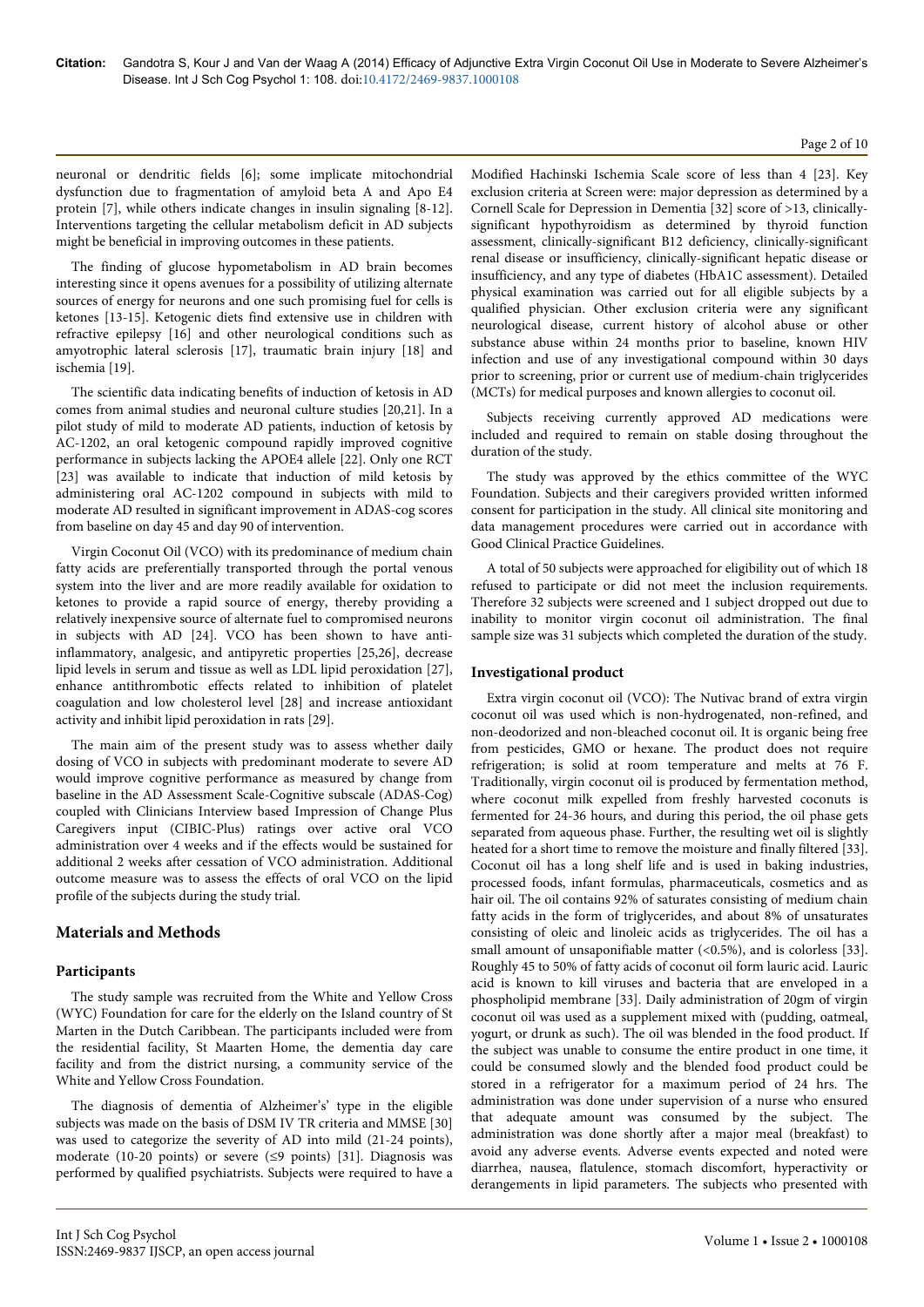#### Page 2 of 10

neuronal or dendritic fields [6]; some implicate mitochondrial dysfunction due to fragmentation of amyloid beta A and Apo E4 protein [7], while others indicate changes in insulin signaling [8-12]. Interventions targeting the cellular metabolism deficit in AD subjects might be beneficial in improving outcomes in these patients.

The finding of glucose hypometabolism in AD brain becomes interesting since it opens avenues for a possibility of utilizing alternate sources of energy for neurons and one such promising fuel for cells is ketones [13-15]. Ketogenic diets find extensive use in children with refractive epilepsy [16] and other neurological conditions such as amyotrophic lateral sclerosis [17], traumatic brain injury [18] and ischemia [19].

The scientific data indicating benefits of induction of ketosis in AD comes from animal studies and neuronal culture studies [20,21]. In a pilot study of mild to moderate AD patients, induction of ketosis by AC-1202, an oral ketogenic compound rapidly improved cognitive performance in subjects lacking the APOE4 allele [22]. Only one RCT [23] was available to indicate that induction of mild ketosis by administering oral AC-1202 compound in subjects with mild to moderate AD resulted in significant improvement in ADAS-cog scores from baseline on day 45 and day 90 of intervention.

Virgin Coconut Oil (VCO) with its predominance of medium chain fatty acids are preferentially transported through the portal venous system into the liver and are more readily available for oxidation to ketones to provide a rapid source of energy, thereby providing a relatively inexpensive source of alternate fuel to compromised neurons in subjects with AD [24]. VCO has been shown to have antiinflammatory, analgesic, and antipyretic properties [25,26], decrease lipid levels in serum and tissue as well as LDL lipid peroxidation [27], enhance antithrombotic effects related to inhibition of platelet coagulation and low cholesterol level [28] and increase antioxidant activity and inhibit lipid peroxidation in rats [29].

The main aim of the present study was to assess whether daily dosing of VCO in subjects with predominant moderate to severe AD would improve cognitive performance as measured by change from baseline in the AD Assessment Scale-Cognitive subscale (ADAS-Cog) coupled with Clinicians Interview based Impression of Change Plus Caregivers input (CIBIC-Plus) ratings over active oral VCO administration over 4 weeks and if the effects would be sustained for additional 2 weeks after cessation of VCO administration. Additional outcome measure was to assess the effects of oral VCO on the lipid profile of the subjects during the study trial.

# **Materials and Methods**

# **Participants**

The study sample was recruited from the White and Yellow Cross (WYC) Foundation for care for the elderly on the Island country of St Marten in the Dutch Caribbean. The participants included were from the residential facility, St Maarten Home, the dementia day care facility and from the district nursing, a community service of the White and Yellow Cross Foundation.

The diagnosis of dementia of Alzheimer's' type in the eligible subjects was made on the basis of DSM IV TR criteria and MMSE [30] was used to categorize the severity of AD into mild (21-24 points), moderate (10-20 points) or severe (≤9 points) [31]. Diagnosis was performed by qualified psychiatrists. Subjects were required to have a Modified Hachinski Ischemia Scale score of less than 4 [23]. Key exclusion criteria at Screen were: major depression as determined by a Cornell Scale for Depression in Dementia [32] score of >13, clinicallysignificant hypothyroidism as determined by thyroid function assessment, clinically-significant B12 deficiency, clinically-significant renal disease or insufficiency, clinically-significant hepatic disease or insufficiency, and any type of diabetes (HbA1C assessment). Detailed physical examination was carried out for all eligible subjects by a qualified physician. Other exclusion criteria were any significant neurological disease, current history of alcohol abuse or other substance abuse within 24 months prior to baseline, known HIV infection and use of any investigational compound within 30 days prior to screening, prior or current use of medium-chain triglycerides (MCTs) for medical purposes and known allergies to coconut oil.

Subjects receiving currently approved AD medications were included and required to remain on stable dosing throughout the duration of the study.

The study was approved by the ethics committee of the WYC Foundation. Subjects and their caregivers provided written informed consent for participation in the study. All clinical site monitoring and data management procedures were carried out in accordance with Good Clinical Practice Guidelines.

A total of 50 subjects were approached for eligibility out of which 18 refused to participate or did not meet the inclusion requirements. Therefore 32 subjects were screened and 1 subject dropped out due to inability to monitor virgin coconut oil administration. The final sample size was 31 subjects which completed the duration of the study.

# **Investigational product**

Extra virgin coconut oil (VCO): The Nutivac brand of extra virgin coconut oil was used which is non-hydrogenated, non-refined, and non-deodorized and non-bleached coconut oil. It is organic being free from pesticides, GMO or hexane. The product does not require refrigeration; is solid at room temperature and melts at 76 F. Traditionally, virgin coconut oil is produced by fermentation method, where coconut milk expelled from freshly harvested coconuts is fermented for 24-36 hours, and during this period, the oil phase gets separated from aqueous phase. Further, the resulting wet oil is slightly heated for a short time to remove the moisture and finally filtered [33]. Coconut oil has a long shelf life and is used in baking industries, processed foods, infant formulas, pharmaceuticals, cosmetics and as hair oil. The oil contains 92% of saturates consisting of medium chain fatty acids in the form of triglycerides, and about 8% of unsaturates consisting of oleic and linoleic acids as triglycerides. The oil has a small amount of unsaponifiable matter (<0.5%), and is colorless [33]. Roughly 45 to 50% of fatty acids of coconut oil form lauric acid. Lauric acid is known to kill viruses and bacteria that are enveloped in a phospholipid membrane [33]. Daily administration of 20gm of virgin coconut oil was used as a supplement mixed with (pudding, oatmeal, yogurt, or drunk as such). The oil was blended in the food product. If the subject was unable to consume the entire product in one time, it could be consumed slowly and the blended food product could be stored in a refrigerator for a maximum period of 24 hrs. The administration was done under supervision of a nurse who ensured that adequate amount was consumed by the subject. The administration was done shortly after a major meal (breakfast) to avoid any adverse events. Adverse events expected and noted were diarrhea, nausea, flatulence, stomach discomfort, hyperactivity or derangements in lipid parameters. The subjects who presented with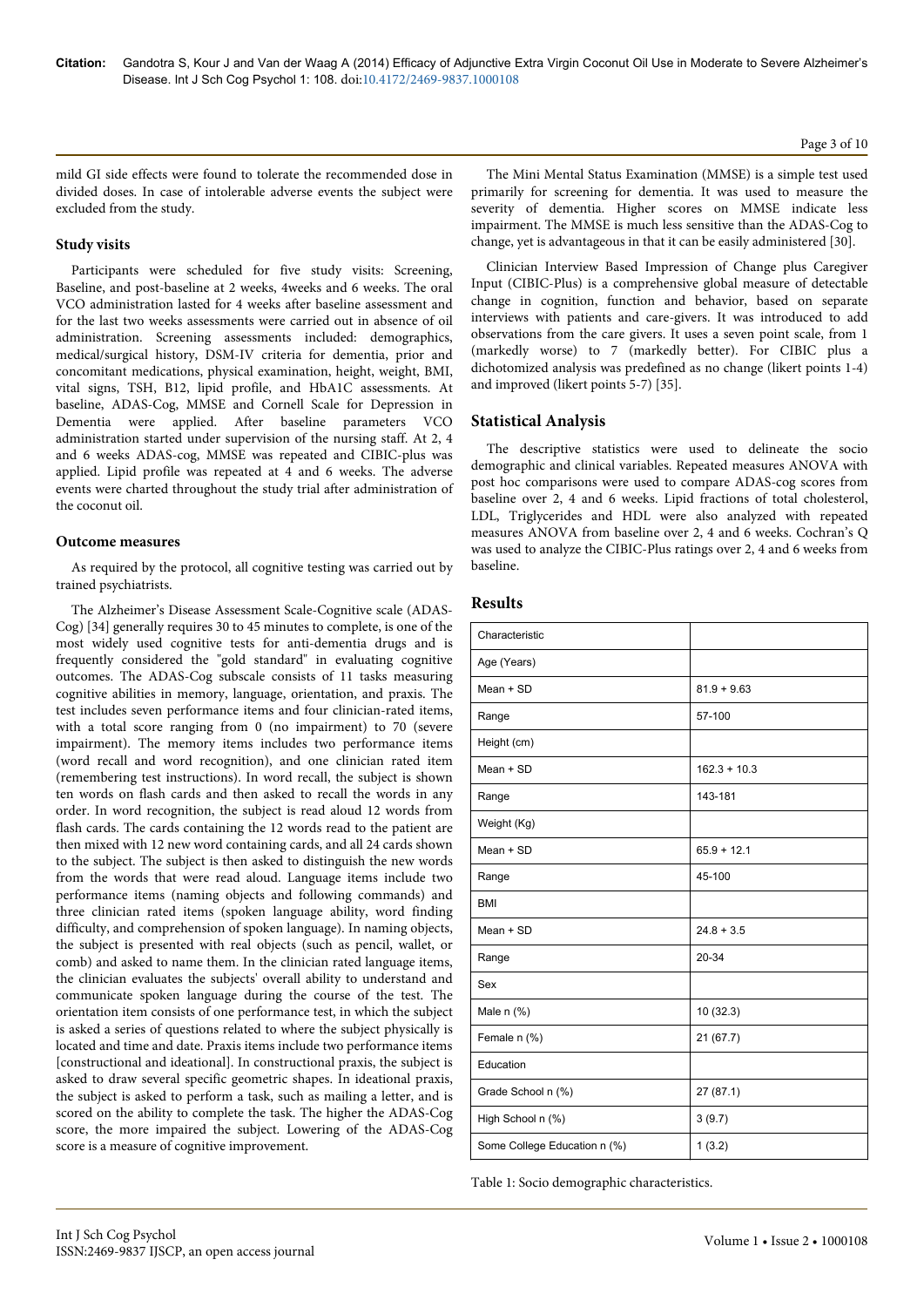mild GI side effects were found to tolerate the recommended dose in divided doses. In case of intolerable adverse events the subject were excluded from the study.

## **Study visits**

Participants were scheduled for five study visits: Screening, Baseline, and post-baseline at 2 weeks, 4weeks and 6 weeks. The oral VCO administration lasted for 4 weeks after baseline assessment and for the last two weeks assessments were carried out in absence of oil administration. Screening assessments included: demographics, medical/surgical history, DSM-IV criteria for dementia, prior and concomitant medications, physical examination, height, weight, BMI, vital signs, TSH, B12, lipid profile, and HbA1C assessments. At baseline, ADAS-Cog, MMSE and Cornell Scale for Depression in Dementia were applied. After baseline parameters VCO administration started under supervision of the nursing staff. At 2, 4 and 6 weeks ADAS-cog, MMSE was repeated and CIBIC-plus was applied. Lipid profile was repeated at 4 and 6 weeks. The adverse events were charted throughout the study trial after administration of the coconut oil.

### **Outcome measures**

As required by the protocol, all cognitive testing was carried out by trained psychiatrists.

The Alzheimer's Disease Assessment Scale-Cognitive scale (ADAS-Cog) [34] generally requires 30 to 45 minutes to complete, is one of the most widely used cognitive tests for anti-dementia drugs and is frequently considered the "gold standard" in evaluating cognitive outcomes. The ADAS-Cog subscale consists of 11 tasks measuring cognitive abilities in memory, language, orientation, and praxis. The test includes seven performance items and four clinician-rated items, with a total score ranging from 0 (no impairment) to 70 (severe impairment). The memory items includes two performance items (word recall and word recognition), and one clinician rated item (remembering test instructions). In word recall, the subject is shown ten words on flash cards and then asked to recall the words in any order. In word recognition, the subject is read aloud 12 words from flash cards. The cards containing the 12 words read to the patient are then mixed with 12 new word containing cards, and all 24 cards shown to the subject. The subject is then asked to distinguish the new words from the words that were read aloud. Language items include two performance items (naming objects and following commands) and three clinician rated items (spoken language ability, word finding difficulty, and comprehension of spoken language). In naming objects, the subject is presented with real objects (such as pencil, wallet, or comb) and asked to name them. In the clinician rated language items, the clinician evaluates the subjects' overall ability to understand and communicate spoken language during the course of the test. The orientation item consists of one performance test, in which the subject is asked a series of questions related to where the subject physically is located and time and date. Praxis items include two performance items [constructional and ideational]. In constructional praxis, the subject is asked to draw several specific geometric shapes. In ideational praxis, the subject is asked to perform a task, such as mailing a letter, and is scored on the ability to complete the task. The higher the ADAS-Cog score, the more impaired the subject. Lowering of the ADAS-Cog score is a measure of cognitive improvement.

The Mini Mental Status Examination (MMSE) is a simple test used primarily for screening for dementia. It was used to measure the severity of dementia. Higher scores on MMSE indicate less impairment. The MMSE is much less sensitive than the ADAS-Cog to change, yet is advantageous in that it can be easily administered [30].

Clinician Interview Based Impression of Change plus Caregiver Input (CIBIC-Plus) is a comprehensive global measure of detectable change in cognition, function and behavior, based on separate interviews with patients and care-givers. It was introduced to add observations from the care givers. It uses a seven point scale, from 1 (markedly worse) to 7 (markedly better). For CIBIC plus a dichotomized analysis was predefined as no change (likert points 1-4) and improved (likert points 5-7) [35].

## **Statistical Analysis**

The descriptive statistics were used to delineate the socio demographic and clinical variables. Repeated measures ANOVA with post hoc comparisons were used to compare ADAS-cog scores from baseline over 2, 4 and 6 weeks. Lipid fractions of total cholesterol, LDL, Triglycerides and HDL were also analyzed with repeated measures ANOVA from baseline over 2, 4 and 6 weeks. Cochran's Q was used to analyze the CIBIC-Plus ratings over 2, 4 and 6 weeks from baseline.

## **Results**

| Characteristic               |                |
|------------------------------|----------------|
| Age (Years)                  |                |
| Mean + SD                    | $81.9 + 9.63$  |
| Range                        | 57-100         |
| Height (cm)                  |                |
| Mean + SD                    | $162.3 + 10.3$ |
| Range                        | 143-181        |
| Weight (Kg)                  |                |
| Mean + SD                    | $65.9 + 12.1$  |
| Range                        | 45-100         |
| <b>BMI</b>                   |                |
| $Mean + SD$                  | $24.8 + 3.5$   |
| Range                        | 20-34          |
| Sex                          |                |
| Male $n$ $%$ )               | 10(32.3)       |
| Female n (%)                 | 21(67.7)       |
| Education                    |                |
| Grade School n (%)           | 27(87.1)       |
| High School n (%)            | 3(9.7)         |
| Some College Education n (%) | 1(3.2)         |

Table 1: Socio demographic characteristics.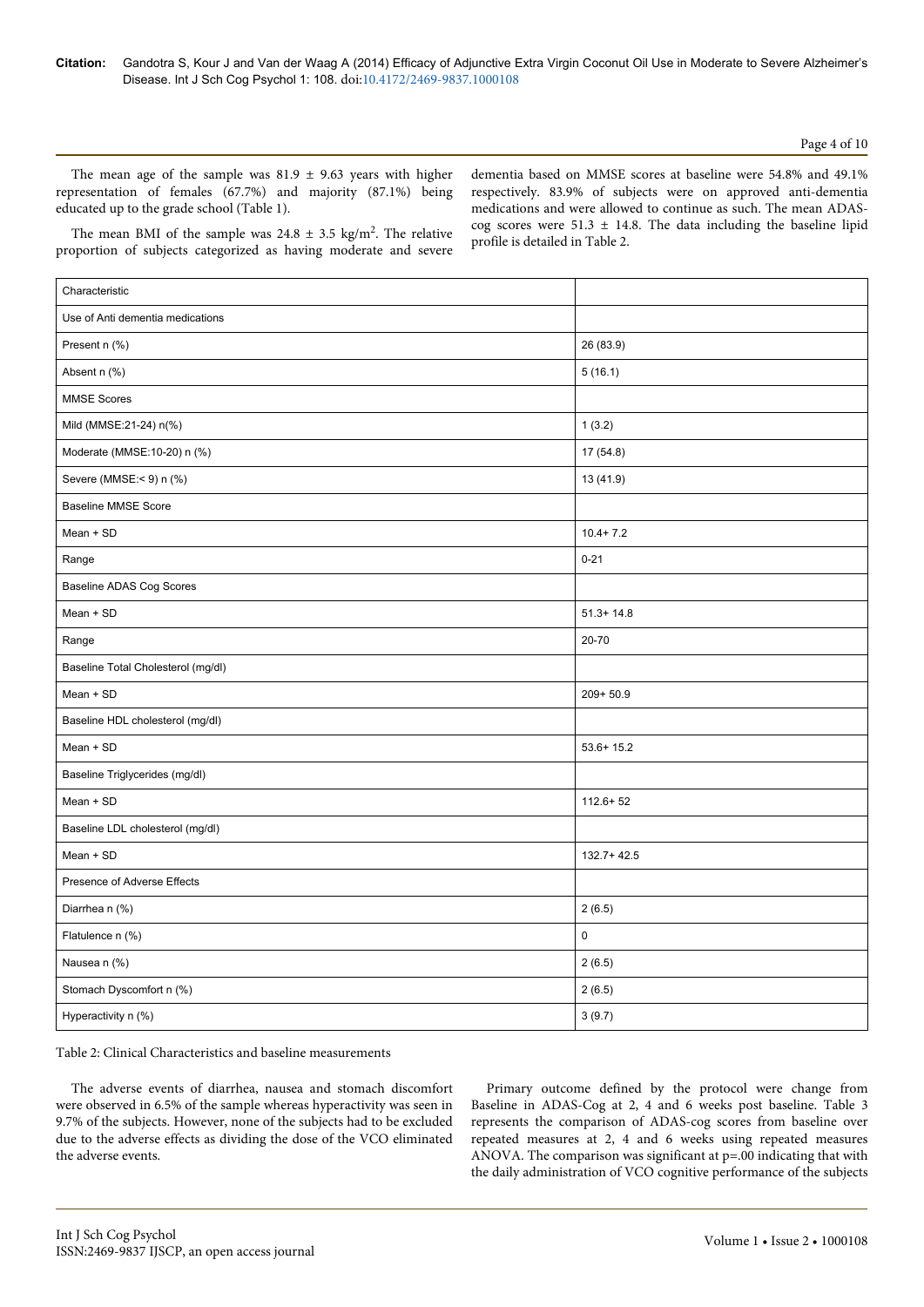# Page 4 of 10

The mean age of the sample was  $81.9 \pm 9.63$  years with higher representation of females (67.7%) and majority (87.1%) being educated up to the grade school (Table 1).

dementia based on MMSE scores at baseline were 54.8% and 49.1% respectively. 83.9% of subjects were on approved anti-dementia medications and were allowed to continue as such. The mean ADAScog scores were 51.3  $\pm$  14.8. The data including the baseline lipid profile is detailed in Table 2.

The mean BMI of the sample was  $24.8 \pm 3.5$  kg/m<sup>2</sup>. The relative proportion of subjects categorized as having moderate and severe

| Characteristic                     |                |
|------------------------------------|----------------|
| Use of Anti dementia medications   |                |
| Present n (%)                      | 26 (83.9)      |
| Absent n (%)                       | 5(16.1)        |
| <b>MMSE Scores</b>                 |                |
| Mild (MMSE:21-24) n(%)             | 1(3.2)         |
| Moderate (MMSE:10-20) n (%)        | 17 (54.8)      |
| Severe (MMSE:< 9) n (%)            | 13 (41.9)      |
| <b>Baseline MMSE Score</b>         |                |
| $Mean + SD$                        | $10.4 + 7.2$   |
| Range                              | $0 - 21$       |
| Baseline ADAS Cog Scores           |                |
| $Mean + SD$                        | $51.3 + 14.8$  |
| Range                              | $20 - 70$      |
| Baseline Total Cholesterol (mg/dl) |                |
| $Mean + SD$                        | $209 + 50.9$   |
| Baseline HDL cholesterol (mg/dl)   |                |
| Mean + SD                          | $53.6 + 15.2$  |
| Baseline Triglycerides (mg/dl)     |                |
| $Mean + SD$                        | $112.6 + 52$   |
| Baseline LDL cholesterol (mg/dl)   |                |
| $Mean + SD$                        | $132.7 + 42.5$ |
| Presence of Adverse Effects        |                |
| Diarrhea n (%)                     | 2(6.5)         |
| Flatulence n (%)                   | $\mathbf 0$    |
| Nausea n (%)                       | 2(6.5)         |
| Stomach Dyscomfort n (%)           | 2(6.5)         |
| Hyperactivity n (%)                | 3(9.7)         |

Table 2: Clinical Characteristics and baseline measurements

The adverse events of diarrhea, nausea and stomach discomfort were observed in 6.5% of the sample whereas hyperactivity was seen in 9.7% of the subjects. However, none of the subjects had to be excluded due to the adverse effects as dividing the dose of the VCO eliminated the adverse events.

Primary outcome defined by the protocol were change from Baseline in ADAS-Cog at 2, 4 and 6 weeks post baseline. Table 3 represents the comparison of ADAS-cog scores from baseline over repeated measures at 2, 4 and 6 weeks using repeated measures ANOVA. The comparison was significant at p=.00 indicating that with the daily administration of VCO cognitive performance of the subjects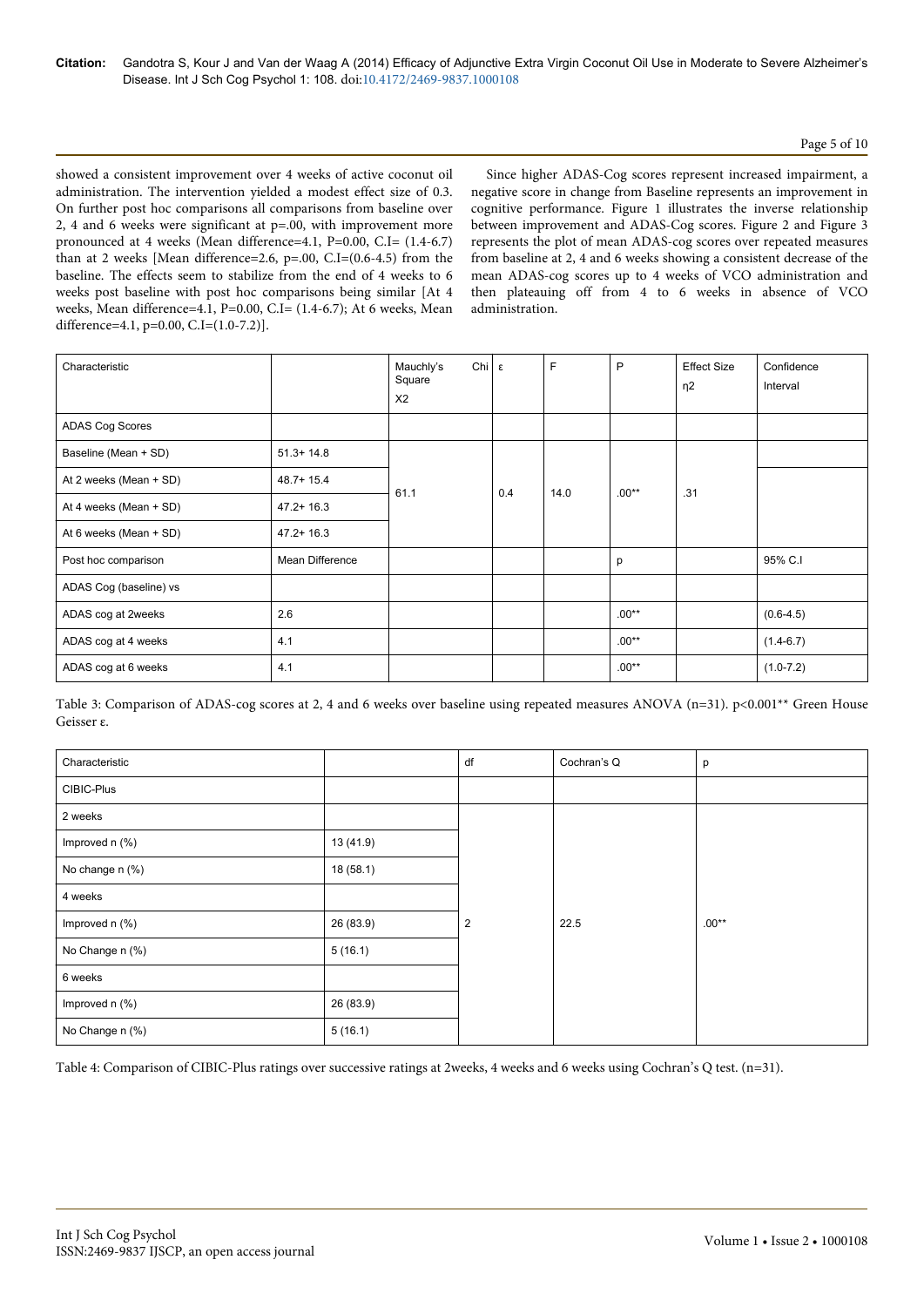# Page 5 of 10

showed a consistent improvement over 4 weeks of active coconut oil administration. The intervention yielded a modest effect size of 0.3. On further post hoc comparisons all comparisons from baseline over 2, 4 and 6 weeks were significant at p=.00, with improvement more pronounced at 4 weeks (Mean difference=4.1, P=0.00, C.I= (1.4-6.7) than at 2 weeks [Mean difference=2.6, p=.00, C.I=(0.6-4.5) from the baseline. The effects seem to stabilize from the end of 4 weeks to 6 weeks post baseline with post hoc comparisons being similar [At 4 weeks, Mean difference=4.1, P=0.00, C.I= (1.4-6.7); At 6 weeks, Mean difference=4.1, p=0.00, C.I=(1.0-7.2)].

Since higher ADAS-Cog scores represent increased impairment, a negative score in change from Baseline represents an improvement in cognitive performance. Figure 1 illustrates the inverse relationship between improvement and ADAS-Cog scores. Figure 2 and Figure 3 represents the plot of mean ADAS-cog scores over repeated measures from baseline at 2, 4 and 6 weeks showing a consistent decrease of the mean ADAS-cog scores up to 4 weeks of VCO administration and then plateauing off from 4 to 6 weeks in absence of VCO administration.

| Characteristic         |                 | Chi $\epsilon$<br>Mauchly's<br>Square<br>X <sub>2</sub> |     | F    | P       | <b>Effect Size</b><br>n2 | Confidence<br>Interval |
|------------------------|-----------------|---------------------------------------------------------|-----|------|---------|--------------------------|------------------------|
| <b>ADAS Cog Scores</b> |                 |                                                         |     |      |         |                          |                        |
| Baseline (Mean + SD)   | $51.3 + 14.8$   | 61.1                                                    | 0.4 | 14.0 | $.00**$ | .31                      |                        |
| At 2 weeks (Mean + SD) | $48.7 + 15.4$   |                                                         |     |      |         |                          |                        |
| At 4 weeks (Mean + SD) | $47.2 + 16.3$   |                                                         |     |      |         |                          |                        |
| At 6 weeks (Mean + SD) | $47.2 + 16.3$   |                                                         |     |      |         |                          |                        |
| Post hoc comparison    | Mean Difference |                                                         |     |      | p       |                          | 95% C.I                |
| ADAS Cog (baseline) vs |                 |                                                         |     |      |         |                          |                        |
| ADAS cog at 2weeks     | 2.6             |                                                         |     |      | $.00**$ |                          | $(0.6-4.5)$            |
| ADAS cog at 4 weeks    | 4.1             |                                                         |     |      | $.00**$ |                          | $(1.4 - 6.7)$          |
| ADAS cog at 6 weeks    | 4.1             |                                                         |     |      | $.00**$ |                          | $(1.0 - 7.2)$          |

Table 3: Comparison of ADAS-cog scores at 2, 4 and 6 weeks over baseline using repeated measures ANOVA (n=31). p<0.001\*\* Green House Geisser ε.

| Characteristic   |           | df | Cochran's Q | p       |
|------------------|-----------|----|-------------|---------|
| CIBIC-Plus       |           |    |             |         |
| 2 weeks          |           |    |             |         |
| Improved $n$ (%) | 13 (41.9) |    |             |         |
| No change n (%)  | 18 (58.1) |    |             |         |
| 4 weeks          |           |    |             |         |
| Improved $n$ (%) | 26 (83.9) | 2  | 22.5        | $.00**$ |
| No Change n (%)  | 5(16.1)   |    |             |         |
| 6 weeks          |           |    |             |         |
| Improved $n$ (%) | 26 (83.9) |    |             |         |
| No Change n (%)  | 5(16.1)   |    |             |         |

Table 4: Comparison of CIBIC-Plus ratings over successive ratings at 2weeks, 4 weeks and 6 weeks using Cochran's Q test. (n=31).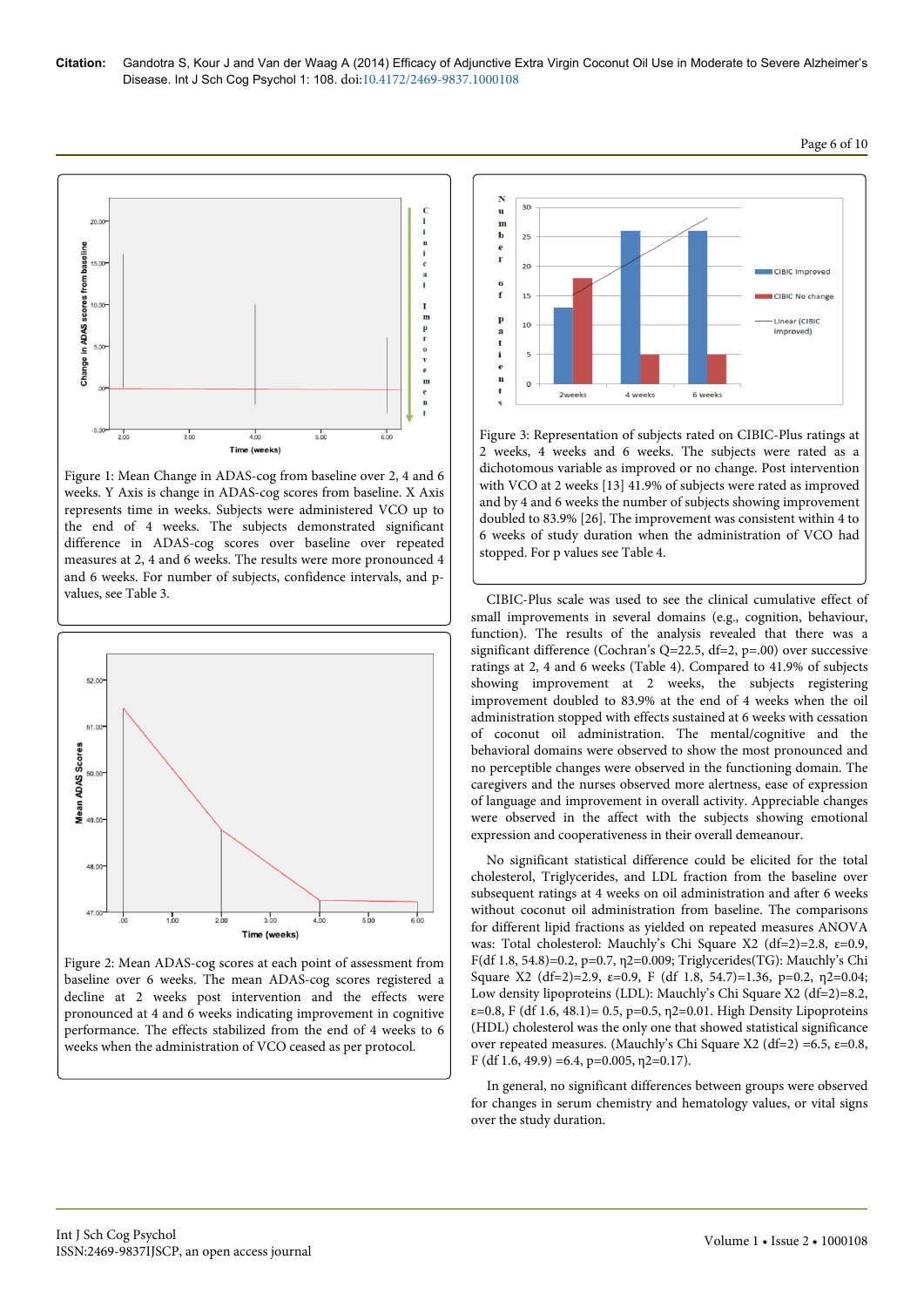Page 6 of 10

Figure 1: Mean Change in ADAS-cog from baseline over 2, 4 and 6 weeks. Y Axis is change in ADAS-cog scores from baseline. X Axis represents time in weeks. Subjects were administered VCO up to the end of 4 weeks. The subjects demonstrated significant difference in ADAS-cog scores over baseline over repeated measures at 2, 4 and 6 weeks. The results were more pronounced 4 and 6 weeks. For number of subjects, confidence intervals, and pvalues, see Table 3.

Disease. Int J Sch Cog Psychol 1: 108. doi:10.4172/2469-9837.1000108

**Citation:** Gandotra S, Kour J and Van der Waag A (2014) Efficacy of Adjunctive Extra Virgin Coconut Oil Use in Moderate to Severe Alzheimer's

 $52.0$ 51.0 ADAS Scores 50.00  $\overline{\mathbf{a}}$ <br> $\cong$  49.00 48.00 47.00  $500$  $1<sup>1</sup>$  $2.00$  $3.00$ 4 hr ຊີດ Time (weeks)

Figure 2: Mean ADAS-cog scores at each point of assessment from baseline over 6 weeks. The mean ADAS-cog scores registered a decline at 2 weeks post intervention and the effects were pronounced at 4 and 6 weeks indicating improvement in cognitive performance. The effects stabilized from the end of 4 weeks to 6 weeks when the administration of VCO ceased as per protocol.

CIBIC-Plus scale was used to see the clinical cumulative effect of small improvements in several domains (e.g., cognition, behaviour, function). The results of the analysis revealed that there was a significant difference (Cochran's Q=22.5, df=2, p=.00) over successive ratings at 2, 4 and 6 weeks (Table 4). Compared to 41.9% of subjects showing improvement at 2 weeks, the subjects registering improvement doubled to 83.9% at the end of 4 weeks when the oil administration stopped with effects sustained at 6 weeks with cessation of coconut oil administration. The mental/cognitive and the behavioral domains were observed to show the most pronounced and no perceptible changes were observed in the functioning domain. The caregivers and the nurses observed more alertness, ease of expression of language and improvement in overall activity. Appreciable changes were observed in the affect with the subjects showing emotional expression and cooperativeness in their overall demeanour.

No significant statistical difference could be elicited for the total cholesterol, Triglycerides, and LDL fraction from the baseline over subsequent ratings at 4 weeks on oil administration and after 6 weeks without coconut oil administration from baseline. The comparisons for different lipid fractions as yielded on repeated measures ANOVA was: Total cholesterol: Mauchly's Chi Square Χ2 (df=2)=2.8, ε=0.9, F(df 1.8, 54.8)=0.2, p=0.7, η2=0.009; Triglycerides(TG): Mauchly's Chi Square Χ2 (df=2)=2.9, ε=0.9, F (df 1.8, 54.7)=1.36, p=0.2, η2=0.04; Low density lipoproteins (LDL): Mauchly's Chi Square Χ2 (df=2)=8.2, ε=0.8, F (df 1.6, 48.1)= 0.5, p=0.5, η2=0.01. High Density Lipoproteins (HDL) cholesterol was the only one that showed statistical significance over repeated measures. (Mauchly's Chi Square Χ2 (df=2) =6.5, ε=0.8, F (df 1.6, 49.9) = 6.4, p= 0.005,  $\eta$ 2= 0.17).

In general, no significant differences between groups were observed for changes in serum chemistry and hematology values, or vital signs over the study duration.





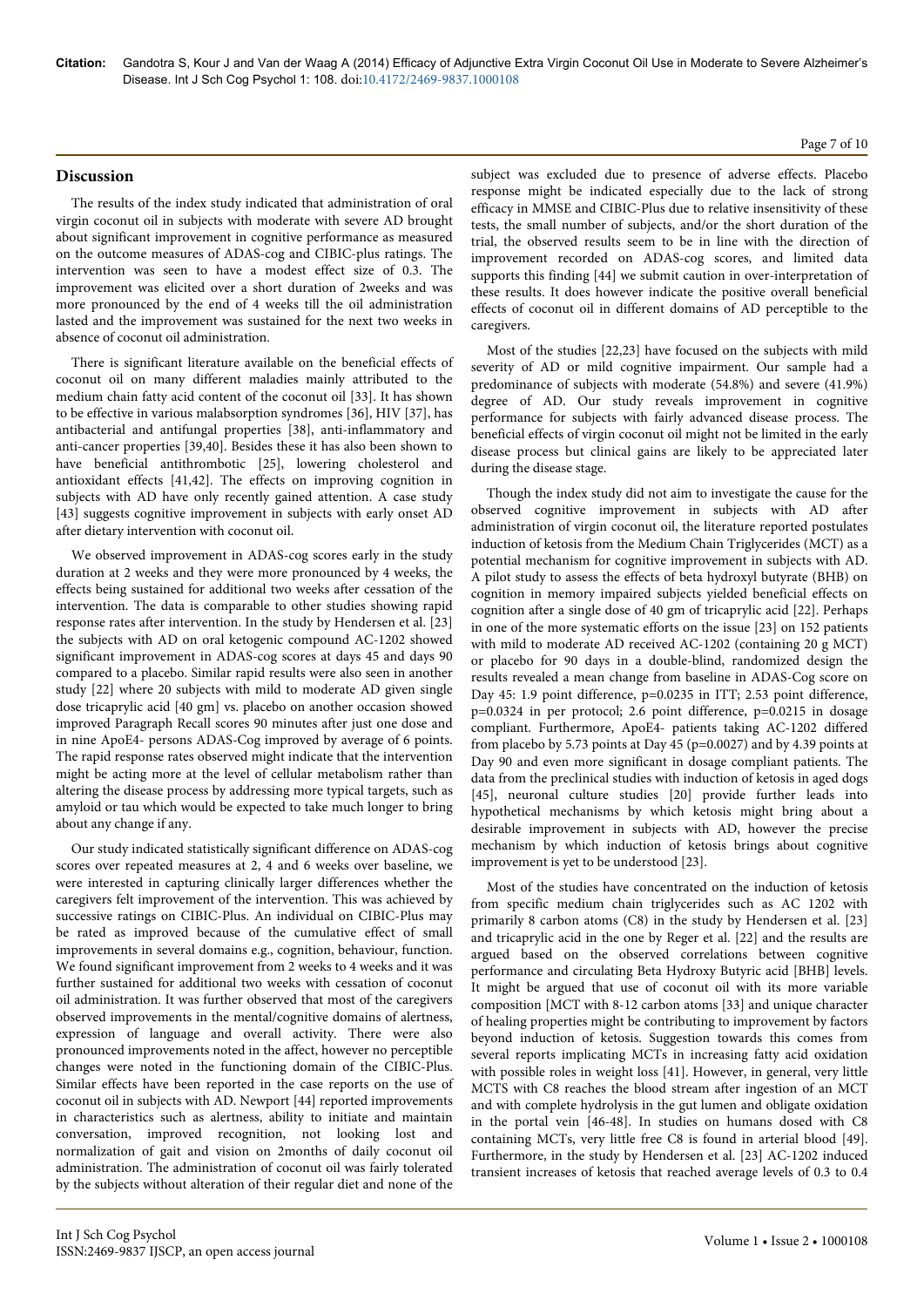**Citation:** Gandotra S, Kour J and Van der Waag A (2014) Efficacy of Adjunctive Extra Virgin Coconut Oil Use in Moderate to Severe Alzheimer's Disease. Int J Sch Cog Psychol 1: 108. doi:10.4172/2469-9837.1000108

### **Discussion**

The results of the index study indicated that administration of oral virgin coconut oil in subjects with moderate with severe AD brought about significant improvement in cognitive performance as measured on the outcome measures of ADAS-cog and CIBIC-plus ratings. The intervention was seen to have a modest effect size of 0.3. The improvement was elicited over a short duration of 2weeks and was more pronounced by the end of 4 weeks till the oil administration lasted and the improvement was sustained for the next two weeks in absence of coconut oil administration.

There is significant literature available on the beneficial effects of coconut oil on many different maladies mainly attributed to the medium chain fatty acid content of the coconut oil [33]. It has shown to be effective in various malabsorption syndromes [36], HIV [37], has antibacterial and antifungal properties [38], anti-inflammatory and anti-cancer properties [39,40]. Besides these it has also been shown to have beneficial antithrombotic [25], lowering cholesterol and antioxidant effects [41,42]. The effects on improving cognition in subjects with AD have only recently gained attention. A case study [43] suggests cognitive improvement in subjects with early onset AD after dietary intervention with coconut oil.

We observed improvement in ADAS-cog scores early in the study duration at 2 weeks and they were more pronounced by 4 weeks, the effects being sustained for additional two weeks after cessation of the intervention. The data is comparable to other studies showing rapid response rates after intervention. In the study by Hendersen et al. [23] the subjects with AD on oral ketogenic compound AC-1202 showed significant improvement in ADAS-cog scores at days 45 and days 90 compared to a placebo. Similar rapid results were also seen in another study [22] where 20 subjects with mild to moderate AD given single dose tricaprylic acid [40 gm] vs. placebo on another occasion showed improved Paragraph Recall scores 90 minutes after just one dose and in nine ApoE4- persons ADAS-Cog improved by average of 6 points. The rapid response rates observed might indicate that the intervention might be acting more at the level of cellular metabolism rather than altering the disease process by addressing more typical targets, such as amyloid or tau which would be expected to take much longer to bring about any change if any.

Our study indicated statistically significant difference on ADAS-cog scores over repeated measures at 2, 4 and 6 weeks over baseline, we were interested in capturing clinically larger differences whether the caregivers felt improvement of the intervention. This was achieved by successive ratings on CIBIC-Plus. An individual on CIBIC-Plus may be rated as improved because of the cumulative effect of small improvements in several domains e.g., cognition, behaviour, function. We found significant improvement from 2 weeks to 4 weeks and it was further sustained for additional two weeks with cessation of coconut oil administration. It was further observed that most of the caregivers observed improvements in the mental/cognitive domains of alertness, expression of language and overall activity. There were also pronounced improvements noted in the affect, however no perceptible changes were noted in the functioning domain of the CIBIC-Plus. Similar effects have been reported in the case reports on the use of coconut oil in subjects with AD. Newport [44] reported improvements in characteristics such as alertness, ability to initiate and maintain conversation, improved recognition, not looking lost and normalization of gait and vision on 2months of daily coconut oil administration. The administration of coconut oil was fairly tolerated by the subjects without alteration of their regular diet and none of the subject was excluded due to presence of adverse effects. Placebo response might be indicated especially due to the lack of strong efficacy in MMSE and CIBIC-Plus due to relative insensitivity of these tests, the small number of subjects, and/or the short duration of the trial, the observed results seem to be in line with the direction of improvement recorded on ADAS-cog scores, and limited data supports this finding [44] we submit caution in over-interpretation of these results. It does however indicate the positive overall beneficial effects of coconut oil in different domains of AD perceptible to the caregivers.

Most of the studies [22,23] have focused on the subjects with mild severity of AD or mild cognitive impairment. Our sample had a predominance of subjects with moderate (54.8%) and severe (41.9%) degree of AD. Our study reveals improvement in cognitive performance for subjects with fairly advanced disease process. The beneficial effects of virgin coconut oil might not be limited in the early disease process but clinical gains are likely to be appreciated later during the disease stage.

Though the index study did not aim to investigate the cause for the observed cognitive improvement in subjects with AD after administration of virgin coconut oil, the literature reported postulates induction of ketosis from the Medium Chain Triglycerides (MCT) as a potential mechanism for cognitive improvement in subjects with AD. A pilot study to assess the effects of beta hydroxyl butyrate (BHB) on cognition in memory impaired subjects yielded beneficial effects on cognition after a single dose of 40 gm of tricaprylic acid [22]. Perhaps in one of the more systematic efforts on the issue [23] on 152 patients with mild to moderate AD received AC-1202 (containing 20 g MCT) or placebo for 90 days in a double-blind, randomized design the results revealed a mean change from baseline in ADAS-Cog score on Day 45: 1.9 point difference, p=0.0235 in ITT; 2.53 point difference, p=0.0324 in per protocol; 2.6 point difference, p=0.0215 in dosage compliant. Furthermore, ApoE4- patients taking AC-1202 differed from placebo by 5.73 points at Day 45 (p=0.0027) and by 4.39 points at Day 90 and even more significant in dosage compliant patients. The data from the preclinical studies with induction of ketosis in aged dogs [45], neuronal culture studies [20] provide further leads into hypothetical mechanisms by which ketosis might bring about a desirable improvement in subjects with AD, however the precise mechanism by which induction of ketosis brings about cognitive improvement is yet to be understood [23].

Most of the studies have concentrated on the induction of ketosis from specific medium chain triglycerides such as AC 1202 with primarily 8 carbon atoms (C8) in the study by Hendersen et al. [23] and tricaprylic acid in the one by Reger et al. [22] and the results are argued based on the observed correlations between cognitive performance and circulating Beta Hydroxy Butyric acid [BHB] levels. It might be argued that use of coconut oil with its more variable composition [MCT with 8-12 carbon atoms [33] and unique character of healing properties might be contributing to improvement by factors beyond induction of ketosis. Suggestion towards this comes from several reports implicating MCTs in increasing fatty acid oxidation with possible roles in weight loss [41]. However, in general, very little MCTS with C8 reaches the blood stream after ingestion of an MCT and with complete hydrolysis in the gut lumen and obligate oxidation in the portal vein [46-48]. In studies on humans dosed with C8 containing MCTs, very little free C8 is found in arterial blood [49]. Furthermore, in the study by Hendersen et al. [23] AC-1202 induced transient increases of ketosis that reached average levels of 0.3 to 0.4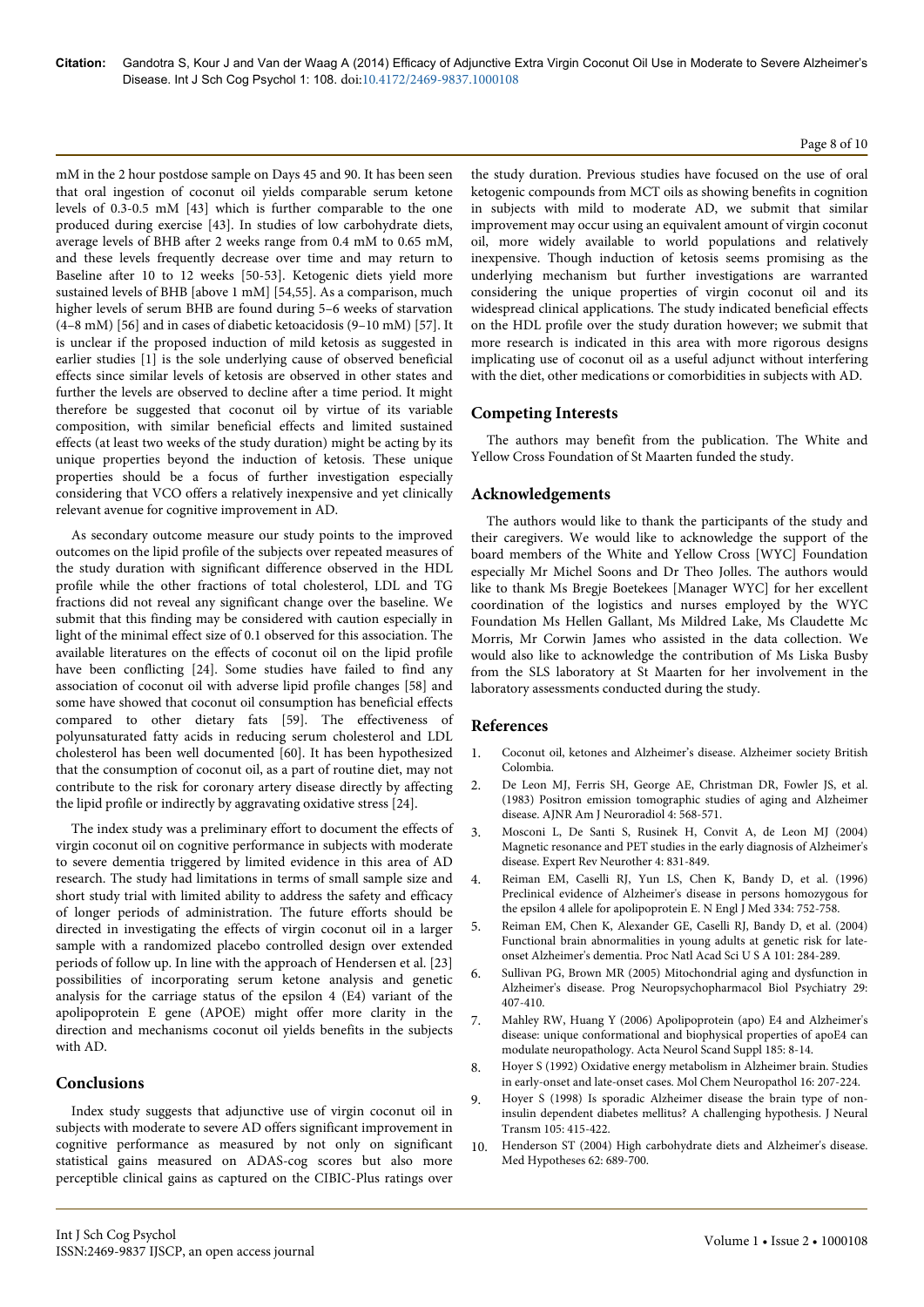### mM in the 2 hour postdose sample on Days 45 and 90. It has been seen that oral ingestion of coconut oil yields comparable serum ketone levels of 0.3-0.5 mM [43] which is further comparable to the one produced during exercise [43]. In studies of low carbohydrate diets, average levels of BHB after 2 weeks range from 0.4 mM to 0.65 mM, and these levels frequently decrease over time and may return to Baseline after 10 to 12 weeks [50-53]. Ketogenic diets yield more sustained levels of BHB [above 1 mM] [54,55]. As a comparison, much higher levels of serum BHB are found during 5–6 weeks of starvation (4–8 mM) [56] and in cases of diabetic ketoacidosis (9–10 mM) [57]. It is unclear if the proposed induction of mild ketosis as suggested in earlier studies [1] is the sole underlying cause of observed beneficial effects since similar levels of ketosis are observed in other states and further the levels are observed to decline after a time period. It might therefore be suggested that coconut oil by virtue of its variable composition, with similar beneficial effects and limited sustained effects (at least two weeks of the study duration) might be acting by its unique properties beyond the induction of ketosis. These unique properties should be a focus of further investigation especially considering that VCO offers a relatively inexpensive and yet clinically relevant avenue for cognitive improvement in AD.

As secondary outcome measure our study points to the improved outcomes on the lipid profile of the subjects over repeated measures of the study duration with significant difference observed in the HDL profile while the other fractions of total cholesterol, LDL and TG fractions did not reveal any significant change over the baseline. We submit that this finding may be considered with caution especially in light of the minimal effect size of 0.1 observed for this association. The available literatures on the effects of coconut oil on the lipid profile have been conflicting [24]. Some studies have failed to find any association of coconut oil with adverse lipid profile changes [58] and some have showed that coconut oil consumption has beneficial effects compared to other dietary fats [59]. The effectiveness of polyunsaturated fatty acids in reducing serum cholesterol and LDL cholesterol has been well documented [60]. It has been hypothesized that the consumption of coconut oil, as a part of routine diet, may not contribute to the risk for coronary artery disease directly by affecting the lipid profile or indirectly by aggravating oxidative stress [24].

The index study was a preliminary effort to document the effects of virgin coconut oil on cognitive performance in subjects with moderate to severe dementia triggered by limited evidence in this area of AD research. The study had limitations in terms of small sample size and short study trial with limited ability to address the safety and efficacy of longer periods of administration. The future efforts should be directed in investigating the effects of virgin coconut oil in a larger sample with a randomized placebo controlled design over extended periods of follow up. In line with the approach of Hendersen et al. [23] possibilities of incorporating serum ketone analysis and genetic analysis for the carriage status of the epsilon 4 (E4) variant of the apolipoprotein E gene (APOE) might offer more clarity in the direction and mechanisms coconut oil yields benefits in the subjects with AD.

# **Conclusions**

Index study suggests that adjunctive use of virgin coconut oil in subjects with moderate to severe AD offers significant improvement in cognitive performance as measured by not only on significant statistical gains measured on ADAS-cog scores but also more perceptible clinical gains as captured on the CIBIC-Plus ratings over

the study duration. Previous studies have focused on the use of oral ketogenic compounds from MCT oils as showing benefits in cognition in subjects with mild to moderate AD, we submit that similar improvement may occur using an equivalent amount of virgin coconut oil, more widely available to world populations and relatively inexpensive. Though induction of ketosis seems promising as the underlying mechanism but further investigations are warranted considering the unique properties of virgin coconut oil and its widespread clinical applications. The study indicated beneficial effects on the HDL profile over the study duration however; we submit that more research is indicated in this area with more rigorous designs implicating use of coconut oil as a useful adjunct without interfering with the diet, other medications or comorbidities in subjects with AD.

# **Competing Interests**

The authors may benefit from the publication. The White and Yellow Cross Foundation of St Maarten funded the study.

# **Acknowledgements**

The authors would like to thank the participants of the study and their caregivers. We would like to acknowledge the support of the board members of the White and Yellow Cross [WYC] Foundation especially Mr Michel Soons and Dr Theo Jolles. The authors would like to thank Ms Bregje Boetekees [Manager WYC] for her excellent coordination of the logistics and nurses employed by the WYC Foundation Ms Hellen Gallant, Ms Mildred Lake, Ms Claudette Mc Morris, Mr Corwin James who assisted in the data collection. We would also like to acknowledge the contribution of Ms Liska Busby from the SLS laboratory at St Maarten for her involvement in the laboratory assessments conducted during the study.

# **References**

- 1. Coconut oil, ketones and Alzheimer's disease. Alzheimer society British Colombia.
- 2. [De Leon MJ, Ferris SH, George AE, Christman DR, Fowler JS, et al.](http://www.ncbi.nlm.nih.gov/pubmed/6410799) [\(1983\) Positron emission tomographic studies of aging and Alzheimer](http://www.ncbi.nlm.nih.gov/pubmed/6410799) [disease. AJNR Am J Neuroradiol 4: 568-571.](http://www.ncbi.nlm.nih.gov/pubmed/6410799)
- 3. [Mosconi L, De Santi S, Rusinek H, Convit A, de Leon MJ \(2004\)](http://www.ncbi.nlm.nih.gov/pubmed/15853510) [Magnetic resonance and PET studies in the early diagnosis of Alzheimer's](http://www.ncbi.nlm.nih.gov/pubmed/15853510) [disease. Expert Rev Neurother 4: 831-849.](http://www.ncbi.nlm.nih.gov/pubmed/15853510)
- 4. [Reiman EM, Caselli RJ, Yun LS, Chen K, Bandy D, et al. \(1996\)](http://www.ncbi.nlm.nih.gov/pubmed/8592548) [Preclinical evidence of Alzheimer's disease in persons homozygous for](http://www.ncbi.nlm.nih.gov/pubmed/8592548) [the epsilon 4 allele for apolipoprotein E. N Engl J Med 334: 752-758.](http://www.ncbi.nlm.nih.gov/pubmed/8592548)
- 5. [Reiman EM, Chen K, Alexander GE, Caselli RJ, Bandy D, et al. \(2004\)](http://www.ncbi.nlm.nih.gov/pubmed/14688411) [Functional brain abnormalities in young adults at genetic risk for late](http://www.ncbi.nlm.nih.gov/pubmed/14688411)[onset Alzheimer's dementia. Proc Natl Acad Sci U S A 101: 284-289.](http://www.ncbi.nlm.nih.gov/pubmed/14688411)
- 6. [Sullivan PG, Brown MR \(2005\) Mitochondrial aging and dysfunction in](http://www.ncbi.nlm.nih.gov/pubmed/15795049) [Alzheimer's disease. Prog Neuropsychopharmacol Biol Psychiatry 29:](http://www.ncbi.nlm.nih.gov/pubmed/15795049) [407-410.](http://www.ncbi.nlm.nih.gov/pubmed/15795049)
- 7. [Mahley RW, Huang Y \(2006\) Apolipoprotein \(apo\) E4 and Alzheimer's](http://www.ncbi.nlm.nih.gov/pubmed/16866905) [disease: unique conformational and biophysical properties of apoE4 can](http://www.ncbi.nlm.nih.gov/pubmed/16866905) [modulate neuropathology. Acta Neurol Scand Suppl 185: 8-14.](http://www.ncbi.nlm.nih.gov/pubmed/16866905)
- 8. [Hoyer S \(1992\) Oxidative energy metabolism in Alzheimer brain. Studies](http://www.ncbi.nlm.nih.gov/pubmed/1418218) [in early-onset and late-onset cases. Mol Chem Neuropathol 16: 207-224.](http://www.ncbi.nlm.nih.gov/pubmed/1418218)
- 9. [Hoyer S \(1998\) Is sporadic Alzheimer disease the brain type of non](http://www.ncbi.nlm.nih.gov/pubmed/9720971)[insulin dependent diabetes mellitus? A challenging hypothesis. J Neural](http://www.ncbi.nlm.nih.gov/pubmed/9720971) [Transm 105: 415-422.](http://www.ncbi.nlm.nih.gov/pubmed/9720971)
- 10. [Henderson ST \(2004\) High carbohydrate diets and Alzheimer's disease.](http://www.ncbi.nlm.nih.gov/pubmed/15082091) [Med Hypotheses 62: 689-700.](http://www.ncbi.nlm.nih.gov/pubmed/15082091)

#### Page 8 of 10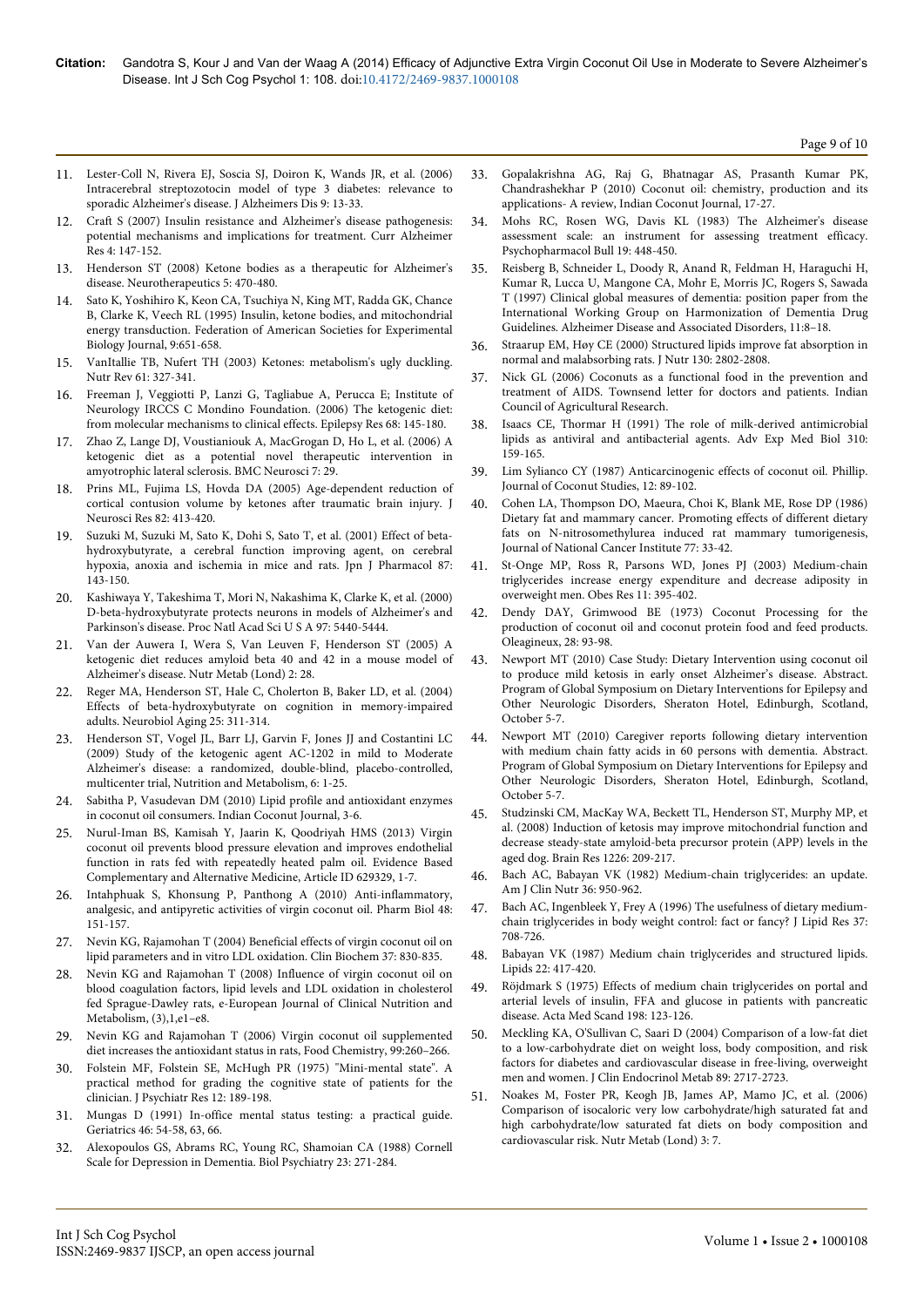Page 9 of 10

- 11. [Lester-Coll N, Rivera EJ, Soscia SJ, Doiron K, Wands JR, et al. \(2006\)](http://www.ncbi.nlm.nih.gov/pubmed/16627931) [Intracerebral streptozotocin model of type 3 diabetes: relevance to](http://www.ncbi.nlm.nih.gov/pubmed/16627931) [sporadic Alzheimer's disease. J Alzheimers Dis 9: 13-33.](http://www.ncbi.nlm.nih.gov/pubmed/16627931)
- [Craft S \(2007\) Insulin resistance and Alzheimer's disease pathogenesis:](http://www.ncbi.nlm.nih.gov/pubmed/17430239) [potential mechanisms and implications for treatment. Curr Alzheimer](http://www.ncbi.nlm.nih.gov/pubmed/17430239) [Res 4: 147-152.](http://www.ncbi.nlm.nih.gov/pubmed/17430239)
- 13. [Henderson ST \(2008\) Ketone bodies as a therapeutic for Alzheimer's](http://www.ncbi.nlm.nih.gov/pubmed/18625458) [disease. Neurotherapeutics 5: 470-480.](http://www.ncbi.nlm.nih.gov/pubmed/18625458)
- 14. [Sato K, Yoshihiro K, Keon CA, Tsuchiya N, King MT, Radda GK, Chance](http://www.ncbi.nlm.nih.gov/pubmed/7768357?dopt=Abstract) [B, Clarke K, Veech RL \(1995\) Insulin, ketone bodies, and mitochondrial](http://www.ncbi.nlm.nih.gov/pubmed/7768357?dopt=Abstract) [energy transduction. Federation of American Societies for Experimental](http://www.ncbi.nlm.nih.gov/pubmed/7768357?dopt=Abstract) [Biology Journal, 9:651-658.](http://www.ncbi.nlm.nih.gov/pubmed/7768357?dopt=Abstract)
- 15. [VanItallie TB, Nufert TH \(2003\) Ketones: metabolism's ugly duckling.](http://www.ncbi.nlm.nih.gov/pubmed/14604265) [Nutr Rev 61: 327-341.](http://www.ncbi.nlm.nih.gov/pubmed/14604265)
- 16. [Freeman J, Veggiotti P, Lanzi G, Tagliabue A, Perucca E; Institute of](http://www.ncbi.nlm.nih.gov/pubmed/16523530) [Neurology IRCCS C Mondino Foundation. \(2006\) The ketogenic diet:](http://www.ncbi.nlm.nih.gov/pubmed/16523530) [from molecular mechanisms to clinical effects. Epilepsy Res 68: 145-180.](http://www.ncbi.nlm.nih.gov/pubmed/16523530)
- 17. [Zhao Z, Lange DJ, Voustianiouk A, MacGrogan D, Ho L, et al. \(2006\) A](http://www.ncbi.nlm.nih.gov/pubmed/16584562) [ketogenic diet as a potential novel therapeutic intervention in](http://www.ncbi.nlm.nih.gov/pubmed/16584562) [amyotrophic lateral sclerosis. BMC Neurosci 7: 29.](http://www.ncbi.nlm.nih.gov/pubmed/16584562)
- 18. [Prins ML, Fujima LS, Hovda DA \(2005\) Age-dependent reduction of](http://www.ncbi.nlm.nih.gov/pubmed/16180224) [cortical contusion volume by ketones after traumatic brain injury. J](http://www.ncbi.nlm.nih.gov/pubmed/16180224) [Neurosci Res 82: 413-420.](http://www.ncbi.nlm.nih.gov/pubmed/16180224)
- 19. [Suzuki M, Suzuki M, Sato K, Dohi S, Sato T, et al. \(2001\) Effect of beta](http://www.ncbi.nlm.nih.gov/pubmed/11700013)[hydroxybutyrate, a cerebral function improving agent, on cerebral](http://www.ncbi.nlm.nih.gov/pubmed/11700013) [hypoxia, anoxia and ischemia in mice and rats. Jpn J Pharmacol 87:](http://www.ncbi.nlm.nih.gov/pubmed/11700013) [143-150.](http://www.ncbi.nlm.nih.gov/pubmed/11700013)
- 20. [Kashiwaya Y, Takeshima T, Mori N, Nakashima K, Clarke K, et al. \(2000\)](http://www.ncbi.nlm.nih.gov/pubmed/10805800) [D-beta-hydroxybutyrate protects neurons in models of Alzheimer's and](http://www.ncbi.nlm.nih.gov/pubmed/10805800) [Parkinson's disease. Proc Natl Acad Sci U S A 97: 5440-5444.](http://www.ncbi.nlm.nih.gov/pubmed/10805800)
- 21. [Van der Auwera I, Wera S, Van Leuven F, Henderson ST \(2005\) A](http://www.ncbi.nlm.nih.gov/pubmed/16229744) [ketogenic diet reduces amyloid beta 40 and 42 in a mouse model of](http://www.ncbi.nlm.nih.gov/pubmed/16229744) [Alzheimer's disease. Nutr Metab \(Lond\) 2: 28.](http://www.ncbi.nlm.nih.gov/pubmed/16229744)
- 22. [Reger MA, Henderson ST, Hale C, Cholerton B, Baker LD, et al. \(2004\)](http://www.ncbi.nlm.nih.gov/pubmed/15123336) [Effects of beta-hydroxybutyrate on cognition in memory-impaired](http://www.ncbi.nlm.nih.gov/pubmed/15123336) [adults. Neurobiol Aging 25: 311-314.](http://www.ncbi.nlm.nih.gov/pubmed/15123336)
- 23. [Henderson ST, Vogel JL, Barr LJ, Garvin F, Jones JJ and Costantini LC](http://www.ncbi.nlm.nih.gov/pubmed/19664276) [\(2009\) Study of the ketogenic agent AC-1202 in mild to Moderate](http://www.ncbi.nlm.nih.gov/pubmed/19664276) [Alzheimer's disease: a randomized, double-blind, placebo-controlled,](http://www.ncbi.nlm.nih.gov/pubmed/19664276) [multicenter trial, Nutrition and Metabolism, 6: 1-25.](http://www.ncbi.nlm.nih.gov/pubmed/19664276)
- 24. [Sabitha P, Vasudevan DM \(2010\) Lipid profile and antioxidant enzymes](http://coconutboard.nic.in/English-Article-Vasudevan1.pdf) [in coconut oil consumers. Indian Coconut Journal, 3-6.](http://coconutboard.nic.in/English-Article-Vasudevan1.pdf)
- 25. [Nurul-Iman BS, Kamisah Y, Jaarin K, Qoodriyah HMS \(2013\) Virgin](http://www.ncbi.nlm.nih.gov/pubmed/23861707) [coconut oil prevents blood pressure elevation and improves endothelial](http://www.ncbi.nlm.nih.gov/pubmed/23861707) [function in rats fed with repeatedly heated palm oil. Evidence Based](http://www.ncbi.nlm.nih.gov/pubmed/23861707) [Complementary and Alternative Medicine, Article ID 629329, 1-7.](http://www.ncbi.nlm.nih.gov/pubmed/23861707)
- 26. [Intahphuak S, Khonsung P, Panthong A \(2010\) Anti-inflammatory,](http://www.ncbi.nlm.nih.gov/pubmed/20645831) [analgesic, and antipyretic activities of virgin coconut oil. Pharm Biol 48:](http://www.ncbi.nlm.nih.gov/pubmed/20645831) [151-157.](http://www.ncbi.nlm.nih.gov/pubmed/20645831)
- 27. [Nevin KG, Rajamohan T \(2004\) Beneficial effects of virgin coconut oil on](http://www.ncbi.nlm.nih.gov/pubmed/15329324) [lipid parameters and in vitro LDL oxidation. Clin Biochem 37: 830-835.](http://www.ncbi.nlm.nih.gov/pubmed/15329324)
- 28. [Nevin KG and Rajamohan T \(2008\) Influence of virgin coconut oil on](http://yadda.icm.edu.pl/yadda/element/bwmeta1.element.elsevier-b8b5f3c6-37e3-32b7-81b6-6c175a9ca1f3) [blood coagulation factors, lipid levels and LDL oxidation in cholesterol](http://yadda.icm.edu.pl/yadda/element/bwmeta1.element.elsevier-b8b5f3c6-37e3-32b7-81b6-6c175a9ca1f3) [fed Sprague-Dawley rats, e-European Journal of Clinical Nutrition and](http://yadda.icm.edu.pl/yadda/element/bwmeta1.element.elsevier-b8b5f3c6-37e3-32b7-81b6-6c175a9ca1f3) [Metabolism, \(3\),1,e1–e8](http://yadda.icm.edu.pl/yadda/element/bwmeta1.element.elsevier-b8b5f3c6-37e3-32b7-81b6-6c175a9ca1f3).
- [Nevin KG and Rajamohan T \(2006\) Virgin coconut oil supplemented](http://www.sciencedirect.com/science/article/pii/S0308814605006412) [diet increases the antioxidant status in rats, Food Chemistry, 99:260–266.](http://www.sciencedirect.com/science/article/pii/S0308814605006412)
- 30. [Folstein MF, Folstein SE, McHugh PR \(1975\) "Mini-mental state". A](http://www.ncbi.nlm.nih.gov/pubmed/1202204) [practical method for grading the cognitive state of patients for the](http://www.ncbi.nlm.nih.gov/pubmed/1202204) [clinician. J Psychiatr Res 12: 189-198.](http://www.ncbi.nlm.nih.gov/pubmed/1202204)
- 31. [Mungas D \(1991\) In-office mental status testing: a practical guide.](http://www.ncbi.nlm.nih.gov/pubmed/2060803) [Geriatrics 46: 54-58, 63, 66.](http://www.ncbi.nlm.nih.gov/pubmed/2060803)
- 32. [Alexopoulos GS, Abrams RC, Young RC, Shamoian CA \(1988\) Cornell](http://www.ncbi.nlm.nih.gov/pubmed/3337862) [Scale for Depression in Dementia. Biol Psychiatry 23: 271-284.](http://www.ncbi.nlm.nih.gov/pubmed/3337862)
- 33. [Gopalakrishna AG, Raj G, Bhatnagar AS, Prasanth Kumar PK,](http://coconutboard.nic.in/English-Article-Gopalakrishna-CFTRI.pdf) [Chandrashekhar P \(2010\) Coconut oil: chemistry, production and its](http://coconutboard.nic.in/English-Article-Gopalakrishna-CFTRI.pdf) [applications- A review, Indian Coconut Journal, 17-27.](http://coconutboard.nic.in/English-Article-Gopalakrishna-CFTRI.pdf)
- 34. [Mohs RC, Rosen WG, Davis KL \(1983\) The Alzheimer's disease](http://www.ncbi.nlm.nih.gov/pubmed/6635122) [assessment scale: an instrument for assessing treatment efficacy.](http://www.ncbi.nlm.nih.gov/pubmed/6635122) [Psychopharmacol Bull 19: 448-450.](http://www.ncbi.nlm.nih.gov/pubmed/6635122)
- 35. [Reisberg B, Schneider L, Doody R, Anand R, Feldman H, Haraguchi H,](http://www.ncbi.nlm.nih.gov/pubmed/9305508) [Kumar R, Lucca U, Mangone CA, Mohr E, Morris JC, Rogers S, Sawada](http://www.ncbi.nlm.nih.gov/pubmed/9305508) [T \(1997\) Clinical global measures of dementia: position paper from the](http://www.ncbi.nlm.nih.gov/pubmed/9305508) [International Working Group on Harmonization of Dementia Drug](http://www.ncbi.nlm.nih.gov/pubmed/9305508) [Guidelines. Alzheimer Disease and Associated Disorders, 11:8–18.](http://www.ncbi.nlm.nih.gov/pubmed/9305508)
- 36. [Straarup EM, Høy CE \(2000\) Structured lipids improve fat absorption in](http://www.ncbi.nlm.nih.gov/pubmed/11053524) [normal and malabsorbing rats. J Nutr 130: 2802-2808.](http://www.ncbi.nlm.nih.gov/pubmed/11053524)
- 37. [Nick GL \(2006\) Coconuts as a functional food in the prevention and](http://agris.fao.org/agris-search/search.do?recordID=IN2011000120) [treatment of AIDS. Townsend letter for doctors and patients. Indian](http://agris.fao.org/agris-search/search.do?recordID=IN2011000120) [Council of Agricultural Research.](http://agris.fao.org/agris-search/search.do?recordID=IN2011000120)
- 38. [Isaacs CE, Thormar H \(1991\) The role of milk-derived antimicrobial](http://www.ncbi.nlm.nih.gov/pubmed/1808991) [lipids as antiviral and antibacterial agents. Adv Exp Med Biol 310:](http://www.ncbi.nlm.nih.gov/pubmed/1808991) [159-165.](http://www.ncbi.nlm.nih.gov/pubmed/1808991)
- 39. Lim Sylianco CY (1987) Anticarcinogenic effects of coconut oil. Phillip. Journal of Coconut Studies, 12: 89-102.
- 40. [Cohen LA, Thompson DO, Maeura, Choi K, Blank ME, Rose DP \(1986\)](http://www.ncbi.nlm.nih.gov/pubmed/3459924) [Dietary fat and mammary cancer. Promoting effects of different dietary](http://www.ncbi.nlm.nih.gov/pubmed/3459924) [fats on N-nitrosomethylurea induced rat mammary tumorigenesis,](http://www.ncbi.nlm.nih.gov/pubmed/3459924) [Journal of National Cancer Institute 77: 33-42.](http://www.ncbi.nlm.nih.gov/pubmed/3459924)
- 41. [St-Onge MP, Ross R, Parsons WD, Jones PJ \(2003\) Medium-chain](http://www.ncbi.nlm.nih.gov/pubmed/12634436) [triglycerides increase energy expenditure and decrease adiposity in](http://www.ncbi.nlm.nih.gov/pubmed/12634436) [overweight men. Obes Res 11: 395-402.](http://www.ncbi.nlm.nih.gov/pubmed/12634436)
- 42. Dendy DAY, Grimwood BE (1973) Coconut Processing for the production of coconut oil and coconut protein food and feed products. Oleagineux, 28: 93-98.
- 43. Newport MT (2010) Case Study: Dietary Intervention using coconut oil to produce mild ketosis in early onset Alzheimer's disease. Abstract. Program of Global Symposium on Dietary Interventions for Epilepsy and Other Neurologic Disorders, Sheraton Hotel, Edinburgh, Scotland, October 5-7.
- 44. Newport MT (2010) Caregiver reports following dietary intervention with medium chain fatty acids in 60 persons with dementia. Abstract. Program of Global Symposium on Dietary Interventions for Epilepsy and Other Neurologic Disorders, Sheraton Hotel, Edinburgh, Scotland, October 5-7.
- 45. [Studzinski CM, MacKay WA, Beckett TL, Henderson ST, Murphy MP, et](http://www.ncbi.nlm.nih.gov/pubmed/18582445) [al. \(2008\) Induction of ketosis may improve mitochondrial function and](http://www.ncbi.nlm.nih.gov/pubmed/18582445) [decrease steady-state amyloid-beta precursor protein \(APP\) levels in the](http://www.ncbi.nlm.nih.gov/pubmed/18582445) [aged dog. Brain Res 1226: 209-217.](http://www.ncbi.nlm.nih.gov/pubmed/18582445)
- 46. [Bach AC, Babayan VK \(1982\) Medium-chain triglycerides: an update.](http://www.ncbi.nlm.nih.gov/pubmed/6814231) [Am J Clin Nutr 36: 950-962.](http://www.ncbi.nlm.nih.gov/pubmed/6814231)
- 47. [Bach AC, Ingenbleek Y, Frey A \(1996\) The usefulness of dietary medium](http://www.ncbi.nlm.nih.gov/pubmed/8732772)[chain triglycerides in body weight control: fact or fancy? J Lipid Res 37:](http://www.ncbi.nlm.nih.gov/pubmed/8732772) [708-726.](http://www.ncbi.nlm.nih.gov/pubmed/8732772)
- 48. [Babayan VK \(1987\) Medium chain triglycerides and structured lipids.](http://www.ncbi.nlm.nih.gov/pubmed/3112486) [Lipids 22: 417-420.](http://www.ncbi.nlm.nih.gov/pubmed/3112486)
- 49. [Röjdmark S \(1975\) Effects of medium chain triglycerides on portal and](http://www.ncbi.nlm.nih.gov/pubmed/1166816) [arterial levels of insulin, FFA and glucose in patients with pancreatic](http://www.ncbi.nlm.nih.gov/pubmed/1166816) [disease. Acta Med Scand 198: 123-126.](http://www.ncbi.nlm.nih.gov/pubmed/1166816)
- 50. [Meckling KA, O'Sullivan C, Saari D \(2004\) Comparison of a low-fat diet](http://www.ncbi.nlm.nih.gov/pubmed/15181047) [to a low-carbohydrate diet on weight loss, body composition, and risk](http://www.ncbi.nlm.nih.gov/pubmed/15181047) [factors for diabetes and cardiovascular disease in free-living, overweight](http://www.ncbi.nlm.nih.gov/pubmed/15181047) [men and women. J Clin Endocrinol Metab 89: 2717-2723.](http://www.ncbi.nlm.nih.gov/pubmed/15181047)
- 51. [Noakes M, Foster PR, Keogh JB, James AP, Mamo JC, et al. \(2006\)](http://www.ncbi.nlm.nih.gov/pubmed/16403234) [Comparison of isocaloric very low carbohydrate/high saturated fat and](http://www.ncbi.nlm.nih.gov/pubmed/16403234) [high carbohydrate/low saturated fat diets on body composition and](http://www.ncbi.nlm.nih.gov/pubmed/16403234) [cardiovascular risk. Nutr Metab \(Lond\) 3: 7.](http://www.ncbi.nlm.nih.gov/pubmed/16403234)